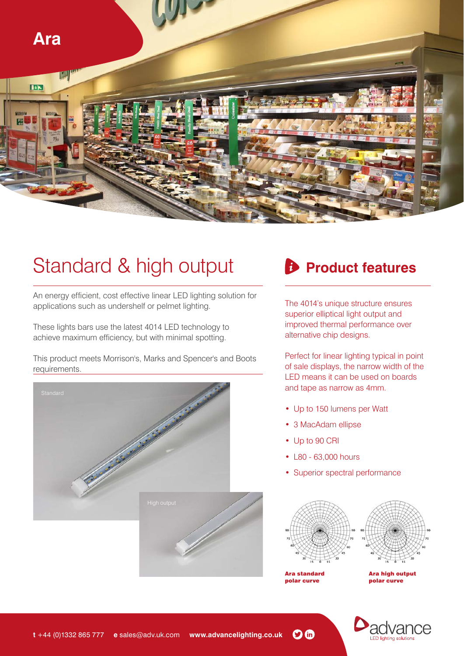

# Standard & high output

An energy efficient, cost effective linear LED lighting solution for applications such as undershelf or pelmet lighting.

These lights bars use the latest 4014 LED technology to achieve maximum efficiency, but with minimal spotting.

This product meets Morrison's, Marks and Spencer's and Boots requirements.





The 4014's unique structure ensures superior elliptical light output and improved thermal performance over alternative chip designs.

Perfect for linear lighting typical in point of sale displays, the narrow width of the LED means it can be used on boards and tape as narrow as 4mm.

- Up to 150 lumens per Watt
- 3 MacAdam ellipse
- Up to 90 CRI
- L80 63,000 hours
- Superior spectral performance



Ara standard polar curve